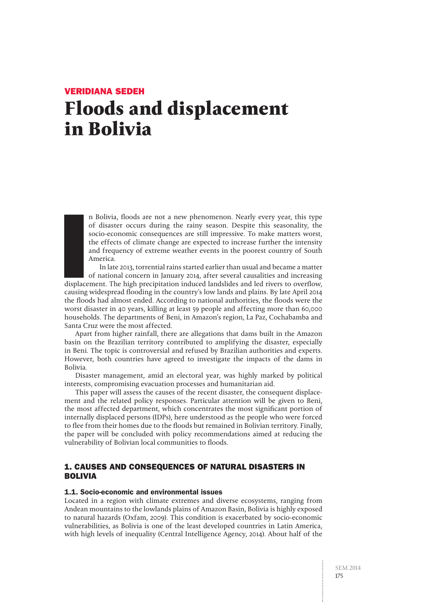# Veridiana Sedeh **Floods and displacement in Bolivia**

n Bolivia, floods are not a new phenomenon. Nearly every year, this type of disaster occurs during the rainy season. Despite this seasonality, the socio-economic consequences are still impressive. To make matters worst, the effects of climate change are expected to increase further the intensity and frequency of extreme weather events in the poorest country of South America.

Example:<br>International<br>Causing In late 2013, torrential rains started earlier than usual and became a matter of national concern in January 2014, after several causalities and increasing displacement. The high precipitation induced landslides and led rivers to overflow, causing widespread flooding in the country's low lands and plains. By late April 2014 the floods had almost ended. According to national authorities, the floods were the worst disaster in 40 years, killing at least 59 people and affecting more than 60,000 households. The departments of Beni, in Amazon's region, La Paz, Cochabamba and Santa Cruz were the most affected.

Apart from higher rainfall, there are allegations that dams built in the Amazon basin on the Brazilian territory contributed to amplifying the disaster, especially in Beni. The topic is controversial and refused by Brazilian authorities and experts. However, both countries have agreed to investigate the impacts of the dams in Bolivia.

Disaster management, amid an electoral year, was highly marked by political interests, compromising evacuation processes and humanitarian aid.

This paper will assess the causes of the recent disaster, the consequent displacement and the related policy responses. Particular attention will be given to Beni, the most affected department, which concentrates the most significant portion of internally displaced persons (IDPs), here understood as the people who were forced to flee from their homes due to the floods but remained in Bolivian territory. Finally, the paper will be concluded with policy recommendations aimed at reducing the vulnerability of Bolivian local communities to floods.

# 1. CAUSES AND CONSEQUENCES OF NATURAL DISASTERS IN BOLIVIA

# 1.1. Socio-economic and environmental issues

Located in a region with climate extremes and diverse ecosystems, ranging from Andean mountains to the lowlands plains of Amazon Basin, Bolivia is highly exposed to natural hazards (Oxfam, 2009). This condition is exacerbated by socio-economic vulnerabilities, as Bolivia is one of the least developed countries in Latin America, with high levels of inequality (Central Intelligence Agency, 2014). About half of the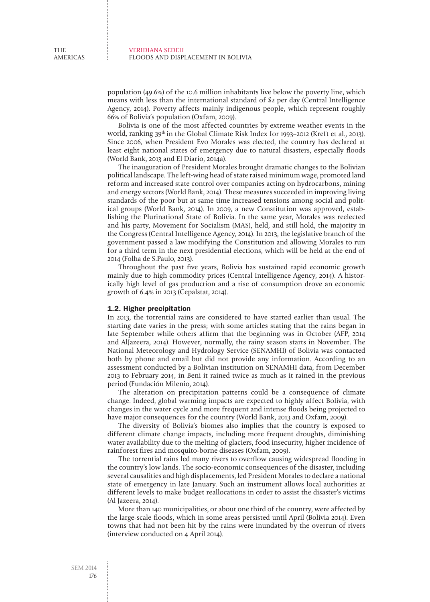population (49.6%) of the 10.6 million inhabitants live below the poverty line, which means with less than the international standard of \$2 per day (Central Intelligence Agency, 2014). Poverty affects mainly indigenous people, which represent roughly 66% of Bolivia's population (Oxfam, 2009).

Bolivia is one of the most affected countries by extreme weather events in the world, ranking 39<sup>th</sup> in the Global Climate Risk Index for 1993-2012 (Kreft et al., 2013). Since 2006, when President Evo Morales was elected, the country has declared at least eight national states of emergency due to natural disasters, especially floods (World Bank, 2013 and El Diario, 2014a).

The inauguration of President Morales brought dramatic changes to the Bolivian political landscape. The left-wing head of state raised minimum wage, promoted land reform and increased state control over companies acting on hydrocarbons, mining and energy sectors (World Bank, 2014). These measures succeeded in improving living standards of the poor but at same time increased tensions among social and political groups (World Bank, 2014). In 2009, a new Constitution was approved, establishing the Plurinational State of Bolivia. In the same year, Morales was reelected and his party, Movement for Socialism (MAS), held, and still hold, the majority in the Congress (Central Intelligence Agency, 2014). In 2013, the legislative branch of the government passed a law modifying the Constitution and allowing Morales to run for a third term in the next presidential elections, which will be held at the end of 2014 (Folha de S.Paulo, 2013).

Throughout the past five years, Bolivia has sustained rapid economic growth mainly due to high commodity prices (Central Intelligence Agency, 2014). A historically high level of gas production and a rise of consumption drove an economic growth of 6.4% in 2013 (Cepalstat, 2014).

#### 1.2. Higher precipitation

In 2013, the torrential rains are considered to have started earlier than usual. The starting date varies in the press; with some articles stating that the rains began in late September while others affirm that the beginning was in October (AFP, 2014 and AlJazeera, 2014). However, normally, the rainy season starts in November. The National Meteorology and Hydrology Service (SENAMHI) of Bolivia was contacted both by phone and email but did not provide any information. According to an assessment conducted by a Bolivian institution on SENAMHI data, from December 2013 to February 2014, in Beni it rained twice as much as it rained in the previous period (Fundación Milenio, 2014).

The alteration on precipitation patterns could be a consequence of climate change. Indeed, global warming impacts are expected to highly affect Bolivia, with changes in the water cycle and more frequent and intense floods being projected to have major consequences for the country (World Bank, 2013 and Oxfam, 2009).

The diversity of Bolivia's biomes also implies that the country is exposed to different climate change impacts, including more frequent droughts, diminishing water availability due to the melting of glaciers, food insecurity, higher incidence of rainforest fires and mosquito-borne diseases (Oxfam, 2009).

The torrential rains led many rivers to overflow causing widespread flooding in the country's low lands. The socio-economic consequences of the disaster, including several causalities and high displacements, led President Morales to declare a national state of emergency in late January. Such an instrument allows local authorities at different levels to make budget reallocations in order to assist the disaster's victims (Al Jazeera, 2014).

More than 140 municipalities, or about one third of the country, were affected by the large-scale floods, which in some areas persisted until April (Bolivia 2014). Even towns that had not been hit by the rains were inundated by the overrun of rivers (interview conducted on 4 April 2014).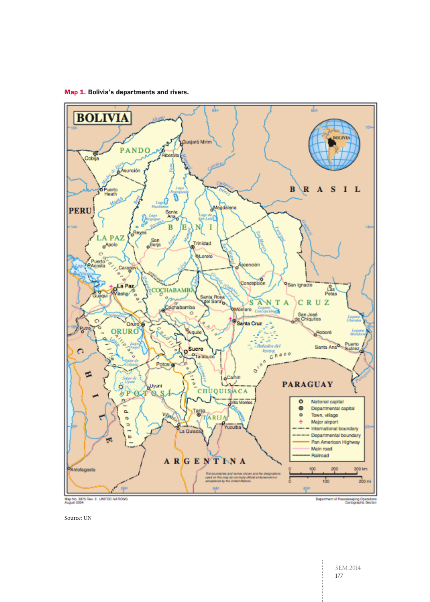



Source: UN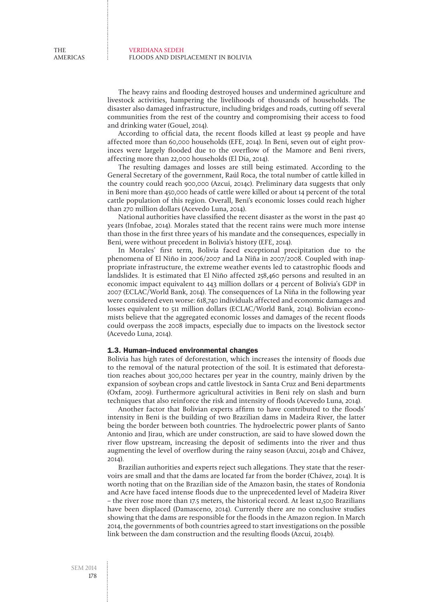The heavy rains and flooding destroyed houses and undermined agriculture and livestock activities, hampering the livelihoods of thousands of households. The disaster also damaged infrastructure, including bridges and roads, cutting off several communities from the rest of the country and compromising their access to food and drinking water (Gouel, 2014).

According to official data, the recent floods killed at least 59 people and have affected more than 60,000 households (EFE, 2014). In Beni, seven out of eight provinces were largely flooded due to the overflow of the Mamore and Beni rivers, affecting more than 22,000 households (El Dia, 2014).

The resulting damages and losses are still being estimated. According to the General Secretary of the government, Raúl Roca, the total number of cattle killed in the country could reach 900,000 (Azcui, 2014c). Preliminary data suggests that only in Beni more than 450,000 heads of cattle were killed or about 14 percent of the total cattle population of this region. Overall, Beni's economic losses could reach higher than 270 million dollars (Acevedo Luna, 2014).

National authorities have classified the recent disaster as the worst in the past 40 years (Infobae, 2014). Morales stated that the recent rains were much more intense than those in the first three years of his mandate and the consequences, especially in Beni, were without precedent in Bolivia's history (EFE, 2014).

In Morales' first term, Bolivia faced exceptional precipitation due to the phenomena of El Niño in 2006/2007 and La Niña in 2007/2008. Coupled with inappropriate infrastructure, the extreme weather events led to catastrophic floods and landslides. It is estimated that El Niño affected 258,460 persons and resulted in an economic impact equivalent to 443 million dollars or 4 percent of Bolivia's GDP in 2007 (ECLAC/World Bank, 2014). The consequences of La Niña in the following year were considered even worse: 618,740 individuals affected and economic damages and losses equivalent to 511 million dollars (ECLAC/World Bank, 2014). Bolivian economists believe that the aggregated economic losses and damages of the recent floods could overpass the 2008 impacts, especially due to impacts on the livestock sector (Acevedo Luna, 2014).

### 1.3. Human--induced environmental changes

Bolivia has high rates of deforestation, which increases the intensity of floods due to the removal of the natural protection of the soil. It is estimated that deforestation reaches about 300,000 hectares per year in the country, mainly driven by the expansion of soybean crops and cattle livestock in Santa Cruz and Beni departments (Oxfam, 2009). Furthermore agricultural activities in Beni rely on slash and burn techniques that also reinforce the risk and intensity of floods (Acevedo Luna, 2014).

Another factor that Bolivian experts affirm to have contributed to the floods' intensity in Beni is the building of two Brazilian dams in Madeira River, the latter being the border between both countries. The hydroelectric power plants of Santo Antonio and Jirau, which are under construction, are said to have slowed down the river flow upstream, increasing the deposit of sediments into the river and thus augmenting the level of overflow during the rainy season (Azcui, 2014b and Chávez, 2014).

Brazilian authorities and experts reject such allegations. They state that the reservoirs are small and that the dams are located far from the border (Chávez, 2014). It is worth noting that on the Brazilian side of the Amazon basin, the states of Rondonia and Acre have faced intense floods due to the unprecedented level of Madeira River – the river rose more than 17.5 meters, the historical record. At least 12,500 Brazilians have been displaced (Damasceno, 2014). Currently there are no conclusive studies showing that the dams are responsible for the floods in the Amazon region. In March 2014, the governments of both countries agreed to start investigations on the possible link between the dam construction and the resulting floods (Azcui, 2014b).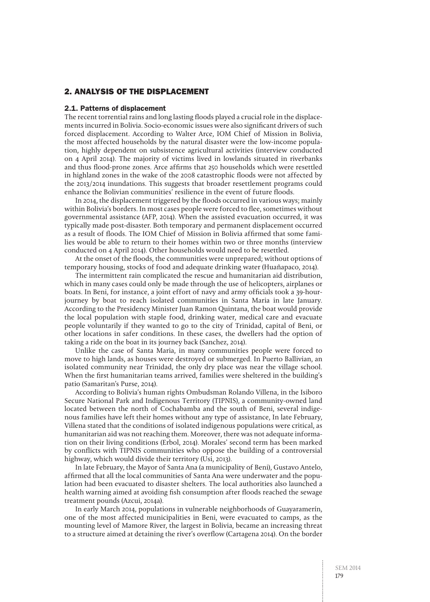# 2. Analysis of the displacement

#### 2.1. Patterns of displacement

The recent torrential rains and long lasting floods played a crucial role in the displacements incurred in Bolivia. Socio-economic issues were also significant drivers of such forced displacement. According to Walter Arce, IOM Chief of Mission in Bolivia, the most affected households by the natural disaster were the low-income population, highly dependent on subsistence agricultural activities (interview conducted on 4 April 2014). The majority of victims lived in lowlands situated in riverbanks and thus flood-prone zones. Arce affirms that 250 households which were resettled in highland zones in the wake of the 2008 catastrophic floods were not affected by the 2013/2014 inundations. This suggests that broader resettlement programs could enhance the Bolivian communities' resilience in the event of future floods.

In 2014, the displacement triggered by the floods occurred in various ways; mainly within Bolivia's borders. In most cases people were forced to flee, sometimes without governmental assistance (AFP, 2014). When the assisted evacuation occurred, it was typically made post-disaster. Both temporary and permanent displacement occurred as a result of floods. The IOM Chief of Mission in Bolivia affirmed that some families would be able to return to their homes within two or three months (interview conducted on 4 April 2014). Other households would need to be resettled.

At the onset of the floods, the communities were unprepared; without options of temporary housing, stocks of food and adequate drinking water (Huañapaco, 2014).

The intermittent rain complicated the rescue and humanitarian aid distribution, which in many cases could only be made through the use of helicopters, airplanes or boats. In Beni, for instance, a joint effort of navy and army officials took a 39-hourjourney by boat to reach isolated communities in Santa Maria in late January. According to the Presidency Minister Juan Ramon Quintana, the boat would provide the local population with staple food, drinking water, medical care and evacuate people voluntarily if they wanted to go to the city of Trinidad, capital of Beni, or other locations in safer conditions. In these cases, the dwellers had the option of taking a ride on the boat in its journey back (Sanchez, 2014).

Unlike the case of Santa Maria, in many communities people were forced to move to high lands, as houses were destroyed or submerged. In Puerto Ballivian, an isolated community near Trinidad, the only dry place was near the village school. When the first humanitarian teams arrived, families were sheltered in the building's patio (Samaritan's Purse, 2014).

According to Bolivia's human rights Ombudsman Rolando Villena, in the Isiboro Secure National Park and Indigenous Territory (TIPNIS), a community-owned land located between the north of Cochabamba and the south of Beni, several indigenous families have left their homes without any type of assistance, In late February, Villena stated that the conditions of isolated indigenous populations were critical, as humanitarian aid was not reaching them. Moreover, there was not adequate information on their living conditions (Erbol, 2014). Morales' second term has been marked by conflicts with TIPNIS communities who oppose the building of a controversial highway, which would divide their territory (Usi, 2013).

In late February, the Mayor of Santa Ana (a municipality of Beni), Gustavo Antelo, affirmed that all the local communities of Santa Ana were underwater and the population had been evacuated to disaster shelters. The local authorities also launched a health warning aimed at avoiding fish consumption after floods reached the sewage treatment pounds (Azcui, 2014a).

In early March 2014, populations in vulnerable neighborhoods of Guayaramerín, one of the most affected municipalities in Beni, were evacuated to camps, as the mounting level of Mamore River, the largest in Bolivia, became an increasing threat to a structure aimed at detaining the river's overflow (Cartagena 2014). On the border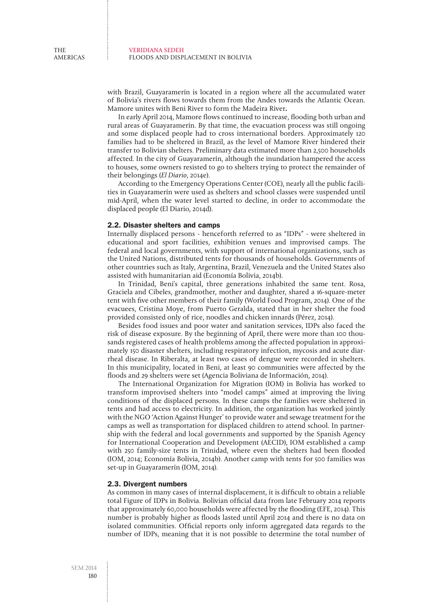with Brazil, Guayaramerín is located in a region where all the accumulated water of Bolivia's rivers flows towards them from the Andes towards the Atlantic Ocean. Mamore unites with Beni River to form the Madeira River**.** 

In early April 2014, Mamore flows continued to increase, flooding both urban and rural areas of Guayaramerín. By that time, the evacuation process was still ongoing and some displaced people had to cross international borders. Approximately 120 families had to be sheltered in Brazil, as the level of Mamore River hindered their transfer to Bolivian shelters. Preliminary data estimated more than 2,500 households affected. In the city of Guayaramerín, although the inundation hampered the access to houses, some owners resisted to go to shelters trying to protect the remainder of their belongings (El Diario, 2014e).

According to the Emergency Operations Center (COE), nearly all the public facilities in Guayaramerín were used as shelters and school classes were suspended until mid-April, when the water level started to decline, in order to accommodate the displaced people (El Diario, 2014d).

# 2.2. Disaster shelters and camps

Internally displaced persons - henceforth referred to as "IDPs" - were sheltered in educational and sport facilities, exhibition venues and improvised camps. The federal and local governments, with support of international organizations, such as the United Nations, distributed tents for thousands of households. Governments of other countries such as Italy, Argentina, Brazil, Venezuela and the United States also assisted with humanitarian aid (Economía Bolivia, 2014b).

In Trinidad, Beni's capital, three generations inhabited the same tent. Rosa, Graciela and Cibeles, grandmother, mother and daughter, shared a 16-square-meter tent with five other members of their family (World Food Program, 2014). One of the evacuees, Cristina Moye, from Puerto Geralda, stated that in her shelter the food provided consisted only of rice, noodles and chicken innards (Pérez, 2014).

Besides food issues and poor water and sanitation services, IDPs also faced the risk of disease exposure. By the beginning of April, there were more than 100 thousands registered cases of health problems among the affected population in approximately 150 disaster shelters, including respiratory infection, mycosis and acute diarrheal disease. In Riberalta, at least two cases of dengue were recorded in shelters. In this municipality, located in Beni, at least 90 communities were affected by the floods and 29 shelters were set (Agencia Boliviana de Información, 2014).

The International Organization for Migration (IOM) in Bolivia has worked to transform improvised shelters into "model camps" aimed at improving the living conditions of the displaced persons. In these camps the families were sheltered in tents and had access to electricity. In addition, the organization has worked jointly with the NGO 'Action Against Hunger' to provide water and sewage treatment for the camps as well as transportation for displaced children to attend school. In partnership with the federal and local governments and supported by the Spanish Agency for International Cooperation and Development (AECID), IOM established a camp with 250 family-size tents in Trinidad, where even the shelters had been flooded (IOM, 2014; Economía Bolivia, 2014b). Another camp with tents for 500 families was set-up in Guayaramerín (IOM, 2014).

## 2.3. Divergent numbers

As common in many cases of internal displacement, it is difficult to obtain a reliable total Figure of IDPs in Bolivia. Bolivian official data from late February 2014 reports that approximately 60,000 households were affected by the flooding (EFE, 2014). This number is probably higher as floods lasted until April 2014 and there is no data on isolated communities. Official reports only inform aggregated data regards to the number of IDPs, meaning that it is not possible to determine the total number of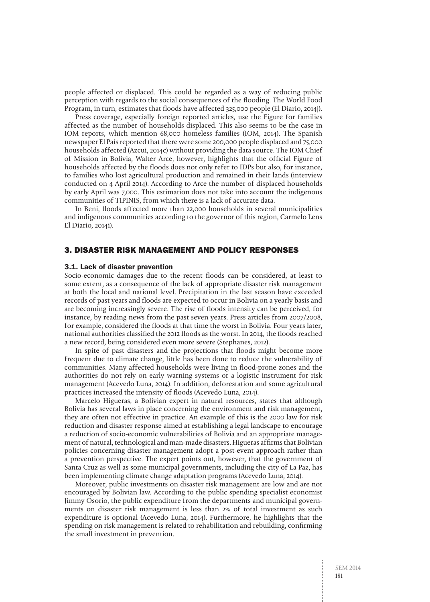people affected or displaced. This could be regarded as a way of reducing public perception with regards to the social consequences of the flooding. The World Food Program, in turn, estimates that floods have affected 325,000 people (El Diario, 2014j).

Press coverage, especially foreign reported articles, use the Figure for families affected as the number of households displaced. This also seems to be the case in IOM reports, which mention 68,000 homeless families (IOM, 2014). The Spanish newspaper El País reported that there were some 200,000 people displaced and 75,000 households affected (Azcui, 2014c) without providing the data source. The IOM Chief of Mission in Bolivia, Walter Arce, however, highlights that the official Figure of households affected by the floods does not only refer to IDPs but also, for instance, to families who lost agricultural production and remained in their lands (interview conducted on 4 April 2014). According to Arce the number of displaced households by early April was 7,000. This estimation does not take into account the indigenous communities of TIPINIS, from which there is a lack of accurate data.

In Beni, floods affected more than 22,000 households in several municipalities and indigenous communities according to the governor of this region, Carmelo Lens El Diario, 2014i).

# 3. Disaster risk management and policy responses

## 3.1. Lack of disaster prevention

Socio-economic damages due to the recent floods can be considered, at least to some extent, as a consequence of the lack of appropriate disaster risk management at both the local and national level. Precipitation in the last season have exceeded records of past years and floods are expected to occur in Bolivia on a yearly basis and are becoming increasingly severe. The rise of floods intensity can be perceived, for instance, by reading news from the past seven years. Press articles from 2007/2008, for example, considered the floods at that time the worst in Bolivia. Four years later, national authorities classified the 2012 floods as the worst. In 2014, the floods reached a new record, being considered even more severe (Stephanes, 2012).

In spite of past disasters and the projections that floods might become more frequent due to climate change, little has been done to reduce the vulnerability of communities. Many affected households were living in flood-prone zones and the authorities do not rely on early warning systems or a logistic instrument for risk management (Acevedo Luna, 2014). In addition, deforestation and some agricultural practices increased the intensity of floods (Acevedo Luna, 2014).

Marcelo Higueras, a Bolivian expert in natural resources, states that although Bolivia has several laws in place concerning the environment and risk management, they are often not effective in practice. An example of this is the 2000 law for risk reduction and disaster response aimed at establishing a legal landscape to encourage a reduction of socio-economic vulnerabilities of Bolivia and an appropriate management of natural, technological and man-made disasters. Higueras affirms that Bolivian policies concerning disaster management adopt a post-event approach rather than a prevention perspective. The expert points out, however, that the government of Santa Cruz as well as some municipal governments, including the city of La Paz, has been implementing climate change adaptation programs (Acevedo Luna, 2014).

Moreover, public investments on disaster risk management are low and are not encouraged by Bolivian law. According to the public spending specialist economist Jimmy Osorio, the public expenditure from the departments and municipal governments on disaster risk management is less than 2% of total investment as such expenditure is optional (Acevedo Luna, 2014). Furthermore, he highlights that the spending on risk management is related to rehabilitation and rebuilding, confirming the small investment in prevention.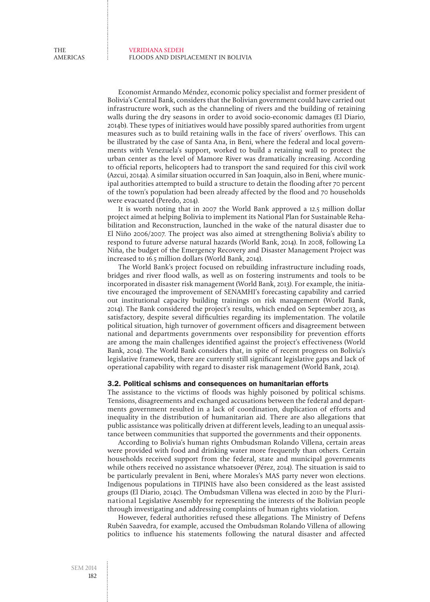Economist Armando Méndez, economic policy specialist and former president of Bolivia's Central Bank, considers that the Bolivian government could have carried out infrastructure work, such as the channeling of rivers and the building of retaining walls during the dry seasons in order to avoid socio-economic damages (El Diario, 2014b). These types of initiatives would have possibly spared authorities from urgent measures such as to build retaining walls in the face of rivers' overflows. This can be illustrated by the case of Santa Ana, in Beni, where the federal and local governments with Venezuela's support, worked to build a retaining wall to protect the urban center as the level of Mamore River was dramatically increasing. According to official reports, helicopters had to transport the sand required for this civil work (Azcui, 2014a). A similar situation occurred in San Joaquin, also in Beni, where municipal authorities attempted to build a structure to detain the flooding after 70 percent of the town's population had been already affected by the flood and 70 households were evacuated (Peredo, 2014).

It is worth noting that in 2007 the World Bank approved a 12.5 million dollar project aimed at helping Bolivia to implement its National Plan for Sustainable Rehabilitation and Reconstruction, launched in the wake of the natural disaster due to El Niño 2006/2007. The project was also aimed at strengthening Bolivia's ability to respond to future adverse natural hazards (World Bank, 2014). In 2008, following La Niña, the budget of the Emergency Recovery and Disaster Management Project was increased to 16.5 million dollars (World Bank, 2014).

The World Bank's project focused on rebuilding infrastructure including roads, bridges and river flood walls, as well as on fostering instruments and tools to be incorporated in disaster risk management (World Bank, 2013). For example, the initiative encouraged the improvement of SENAMHI's forecasting capability and carried out institutional capacity building trainings on risk management (World Bank, 2014). The Bank considered the project's results, which ended on September 2013, as satisfactory, despite several difficulties regarding its implementation. The volatile political situation, high turnover of government officers and disagreement between national and departments governments over responsibility for prevention efforts are among the main challenges identified against the project's effectiveness (World Bank, 2014). The World Bank considers that, in spite of recent progress on Bolivia's legislative framework, there are currently still significant legislative gaps and lack of operational capability with regard to disaster risk management (World Bank, 2014).

## 3.2. Political schisms and consequences on humanitarian efforts

The assistance to the victims of floods was highly poisoned by political schisms. Tensions, disagreements and exchanged accusations between the federal and departments government resulted in a lack of coordination, duplication of efforts and inequality in the distribution of humanitarian aid. There are also allegations that public assistance was politically driven at different levels, leading to an unequal assistance between communities that supported the governments and their opponents.

According to Bolivia's human rights Ombudsman Rolando Villena, certain areas were provided with food and drinking water more frequently than others. Certain households received support from the federal, state and municipal governments while others received no assistance whatsoever (Pérez, 2014). The situation is said to be particularly prevalent in Beni, where Morales's MAS party never won elections. Indigenous populations in TIPINIS have also been considered as the least assisted groups (El Diario, 2014c). The Ombudsman Villena was elected in 2010 by the Plurinational Legislative Assembly for representing the interests of the Bolivian people through investigating and addressing complaints of human rights violation.

However, federal authorities refused these allegations. The Ministry of Defens Rubén Saavedra, for example, accused the Ombudsman Rolando Villena of allowing politics to influence his statements following the natural disaster and affected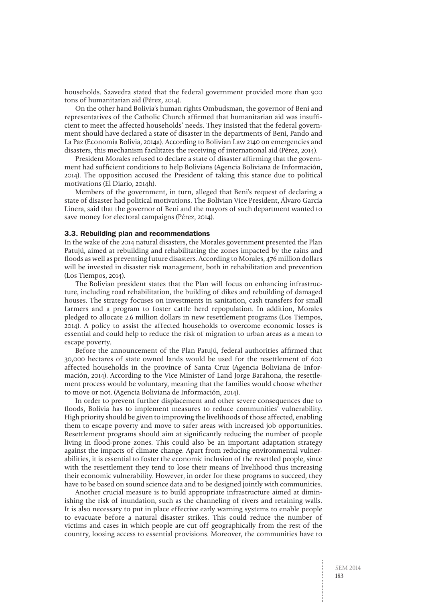households. Saavedra stated that the federal government provided more than 900 tons of humanitarian aid (Pérez, 2014).

On the other hand Bolivia's human rights Ombudsman, the governor of Beni and representatives of the Catholic Church affirmed that humanitarian aid was insufficient to meet the affected households' needs. They insisted that the federal government should have declared a state of disaster in the departments of Beni, Pando and La Paz (Economía Bolivia, 2014a). According to Bolivian Law 2140 on emergencies and disasters, this mechanism facilitates the receiving of international aid (Pérez, 2014).

President Morales refused to declare a state of disaster affirming that the government had sufficient conditions to help Bolivians (Agencia Boliviana de Información, 2014). The opposition accused the President of taking this stance due to political motivations (El Diario, 2014h).

Members of the government, in turn, alleged that Beni's request of declaring a state of disaster had political motivations. The Bolivian Vice President, Álvaro García Linera, said that the governor of Beni and the mayors of such department wanted to save money for electoral campaigns (Pérez, 2014).

## 3.3. Rebuilding plan and recommendations

In the wake of the 2014 natural disasters, the Morales government presented the Plan Patujú, aimed at rebuilding and rehabilitating the zones impacted by the rains and floods as well as preventing future disasters. According to Morales, 476 million dollars will be invested in disaster risk management, both in rehabilitation and prevention (Los Tiempos, 2014).

The Bolivian president states that the Plan will focus on enhancing infrastructure, including road rehabilitation, the building of dikes and rebuilding of damaged houses. The strategy focuses on investments in sanitation, cash transfers for small farmers and a program to foster cattle herd repopulation. In addition, Morales pledged to allocate 2.6 million dollars in new resettlement programs (Los Tiempos, 2014). A policy to assist the affected households to overcome economic losses is essential and could help to reduce the risk of migration to urban areas as a mean to escape poverty.

Before the announcement of the Plan Patujú, federal authorities affirmed that 30,000 hectares of state owned lands would be used for the resettlement of 600 affected households in the province of Santa Cruz (Agencia Boliviana de Información, 2014). According to the Vice Minister of Land Jorge Barahona, the resettlement process would be voluntary, meaning that the families would choose whether to move or not. (Agencia Boliviana de Información, 2014).

In order to prevent further displacement and other severe consequences due to floods, Bolivia has to implement measures to reduce communities' vulnerability. High priority should be given to improving the livelihoods of those affected, enabling them to escape poverty and move to safer areas with increased job opportunities. Resettlement programs should aim at significantly reducing the number of people living in flood-prone zones. This could also be an important adaptation strategy against the impacts of climate change. Apart from reducing environmental vulnerabilities, it is essential to foster the economic inclusion of the resettled people, since with the resettlement they tend to lose their means of livelihood thus increasing their economic vulnerability. However, in order for these programs to succeed, they have to be based on sound science data and to be designed jointly with communities.

Another crucial measure is to build appropriate infrastructure aimed at diminishing the risk of inundation, such as the channeling of rivers and retaining walls. It is also necessary to put in place effective early warning systems to enable people to evacuate before a natural disaster strikes. This could reduce the number of victims and cases in which people are cut off geographically from the rest of the country, loosing access to essential provisions. Moreover, the communities have to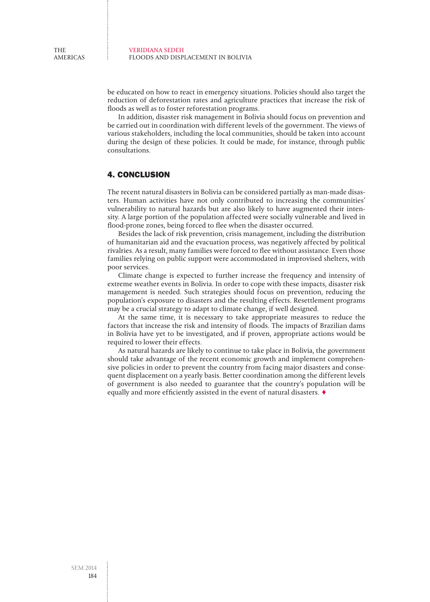be educated on how to react in emergency situations. Policies should also target the reduction of deforestation rates and agriculture practices that increase the risk of floods as well as to foster reforestation programs.

In addition, disaster risk management in Bolivia should focus on prevention and be carried out in coordination with different levels of the government. The views of various stakeholders, including the local communities, should be taken into account during the design of these policies. It could be made, for instance, through public consultations.

# 4. Conclusion

The recent natural disasters in Bolivia can be considered partially as man-made disasters. Human activities have not only contributed to increasing the communities' vulnerability to natural hazards but are also likely to have augmented their intensity. A large portion of the population affected were socially vulnerable and lived in flood-prone zones, being forced to flee when the disaster occurred.

Besides the lack of risk prevention, crisis management, including the distribution of humanitarian aid and the evacuation process, was negatively affected by political rivalries. As a result, many families were forced to flee without assistance. Even those families relying on public support were accommodated in improvised shelters, with poor services.

Climate change is expected to further increase the frequency and intensity of extreme weather events in Bolivia. In order to cope with these impacts, disaster risk management is needed. Such strategies should focus on prevention, reducing the population's exposure to disasters and the resulting effects. Resettlement programs may be a crucial strategy to adapt to climate change, if well designed.

At the same time, it is necessary to take appropriate measures to reduce the factors that increase the risk and intensity of floods. The impacts of Brazilian dams in Bolivia have yet to be investigated, and if proven, appropriate actions would be required to lower their effects.

As natural hazards are likely to continue to take place in Bolivia, the government should take advantage of the recent economic growth and implement comprehensive policies in order to prevent the country from facing major disasters and consequent displacement on a yearly basis. Better coordination among the different levels of government is also needed to guarantee that the country's population will be equally and more efficiently assisted in the event of natural disasters. ♦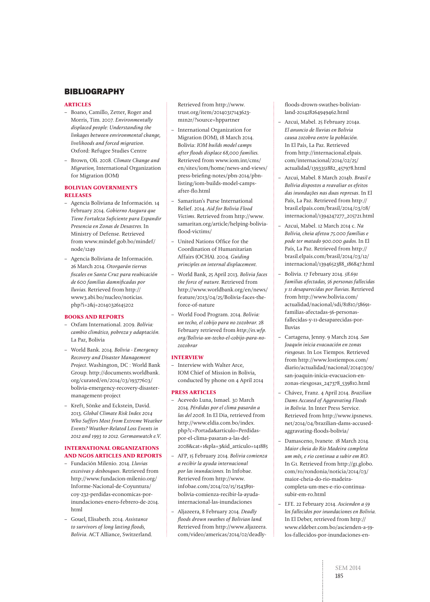# **BIBLIOGRAPHY**

#### **ARTICLES**

- Boano, Camillo, Zetter, Roger and Morris, Tim. 2007. Environmentally displaced people: Understanding the linkages between environmental change, livelihoods and forced migration. Oxford: Refugee Studies Centre
- Brown, Oli. 2008. Climate Change and Migration, International Organization for Migration (IOM)

### **BOLIVIAN GOVERNMENT'S RELEASES**

- Agencia Boliviana de Información. 14 February 2014. Gobierno Asegura que Tiene Fortaleza Suficiente para Expandir Presencia en Zonas de Desastres. In Ministry of Defense. Retrieved from www.mindef.gob.bo/mindef/ node/1249
- Agencia Boliviana de Información. 26 March 2014. Otorgarán tierras fiscales en Santa Cruz para reubicación de 600 familias damnificadas por lluvias. Retrieved from http:// www3.abi.bo/nucleo/noticias. php?i=2&j=20140326145202

#### **BOOKS AND REPORTS**

- Oxfam International. 2009. Bolívia: cambio climático, pobreza y adaptación. La Paz, Bolivia
- World Bank. 2014. Bolivia Emergency Recovery and Disaster Management Project. Washington, DC : World Bank Group. http://documents.worldbank. org/curated/en/2014/03/19377603/ bolivia-emergency-recovery-disastermanagement-project
- Kreft, Sönke and Eckstein, David. 2013. Global Climate Risk Index 2014 Who Suffers Most from Extreme Weather Events? Weather-Related Loss Events in 2012 and 1993 to 2012. Germanwatch e.V.

# **INTERNATIONAL ORGANIZATIONS AND NGOS ARTICLES AND REPORTS**

- Fundación Milenio. 2014. Lluvias excesivas y desbosques. Retrieved from http://www.fundacion-milenio.org/ Informe-Nacional-de-Coyuntura/ coy-232-perdidas-economicas-porinundaciones-enero-febrero-de-2014. html
- Gouel, Elisabeth. 2014. Assistance to survivors of long lasting floods, Bolivia. ACT Alliance, Switzerland.

Retrieved from http://www. trust.org/item/20140317143623 m1n2r/?source=hppartner

- International Organization for Migration (IOM), 18 March 2014. Bolivia: IOM builds model camps after floods displace 68,000 families. Retrieved from www.iom.int/cms/ en/sites/iom/home/news-and-views/ press-briefing-notes/pbn-2014/pbnlisting/iom-builds-model-campsafter-flo.html
- Samaritan's Purse International Relief. 2014. Aid for Bolivia Flood Victims. Retrieved from http://www. samaritan.org/article/helping-boliviaflood-victims/
- United Nations Office for the Coordination of Humanitarian Affairs (OCHA). 2004. Guiding principles on internal displacement.
- World Bank, 25 April 2013. Bolivia faces the force of nature. Retrieved from http://www.worldbank.org/en/news/ feature/2013/04/25/Bolivia-faces-theforce-of-nature
- World Food Program. 2014. Bolivia: un techo, el cobijo para no zozobrar. 28 February retrieved from http://es.wfp. org/Bolivia-un-techo-el-cobijo-para-nozozobrar

#### **INTERVIEW**

– Interview with Walter Arce, IOM Chief of Mission in Bolivia, conducted by phone on 4 April 2014

#### **PRESS ARTICLES**

- Acevedo Luna, Ismael. 30 March 2014. Pérdidas por el clima pasarán a las del 2008. In El Dia, retrieved from http://www.eldia.com.bo/index. php?c=Portada&articulo=Perdidaspor-el-clima-pasaran-a-las-del-2008&cat=1&pla=3&id\_articulo=141885
- AFP, 15 February 2014. Bolivia comienza a recibir la ayuda internacional por las inundaciones. In Infobae. Retrieved from http://www. infobae.com/2014/02/15/1543891 bolivia-comienza-recibir-la-ayudainternacional-las-inundaciones
- Aljazeera, 8 February 2014. Deadly floods drown swathes of Bolivian land. Retrieved from http://www.aljazeera. com/video/americas/2014/02/deadly-

floods-drown-swathes-bolivianland-201428264949462.html

- Azcui, Mabel. 25 February 2014a. El anuncio de lluvias en Bolivia causa zozobra entre la población. In El País, La Paz. Retrieved from http://internacional.elpais. com/internacional/2014/02/25/ actualidad/1393351882\_457978.html
- Azcui, Mabel. 8 March 2014b. Brasil e Bolívia dispostos a reavaliar os efeitos das inundações nas duas represas. In El País, La Paz. Retrieved from http:// brasil.elpais.com/brasil/2014/03/08/ internacional/1394247277\_205721.html
- Azcui, Mabel. 12 March 2014 c. Na Bolívia, cheia afetou 75.000 famílias e pode ter matado 900.000 gados. In El País, La Paz. Retrieved from http:// brasil.elpais.com/brasil/2014/03/12/ internacional/1394652388\_186847.html
- Bolivia. 17 February 2014. 58.691 familias afectadas, 56 personas fallecidas y 11 desaparecidas por lluvias. Retrieved from http://www.bolivia.com/ actualidad/nacional/sdi/81810/58691 familias-afectadas-56-personasfallecidas-y-11-desaparecidas-porlluvias
- Cartagena, Jenny. 9 March 2014. San Joaquín inicia evacuación en zonas riesgosas. In Los Tiempos. Retrieved from http://www.lostiempos.com/ diario/actualidad/nacional/20140309/ san-joaquin-inicia-evacuacion-enzonas-riesgosas\_247378\_539810.html
- Chávez, Franz. 4 April 2014. Brazilian Dams Accused of Aggravating Floods in Bolivia. In Inter Press Service. Retrieved from http://www.ipsnews. net/2014/04/brazilian-dams-accusedaggravating-floods-bolivia/
- Damasceno, Ivanete. 18 March 2014. Maior cheia do Rio Madeira completa um mês, e rio continua a subir em RO. In G1. Retrieved from http://g1.globo. com/ro/rondonia/noticia/2014/03/ maior-cheia-do-rio-madeiracompleta-um-mes-e-rio-continuasubir-em-ro.html
- EFE. 22 February 2014. Ascienden a 59 los fallecidos por inundaciones en Bolivia. In El Deber, retrieved from http:// www.eldeber.com.bo/ascienden-a-59 los-fallecidos-por-inundaciones-en-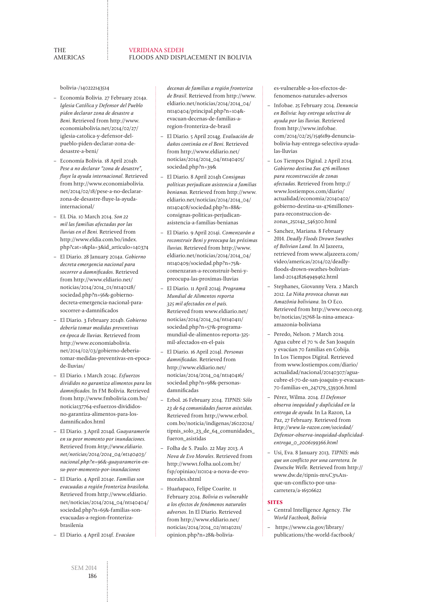bolivia-/140222143514

- Economía Bolivia. 27 February 2014a. Iglesia Católica y Defensor del Pueblo piden declarar zona de desastre a Beni. Retrieved from http://www. economiabolivia.net/2014/02/27/ iglesia-catolica-y-defensor-delpueblo-piden-declarar-zona-dedesastre-a-beni/
- Economía Bolivia. 18 April 2014b. Pese a no declarar "zona de desastre", fluye la ayuda internacional. Retrieved from http://www.economiabolivia. net/2014/02/18/pese-a-no-declararzona-de-desastre-fluye-la-ayudainternacional/
- EL Dia. 10 March 2014. Son 22 mil las familias afectadas por las lluvias en el Beni. Retrieved from http://www.eldia.com.bo/index. php?cat=1&pla=3&id\_articulo=140374
- El Diario. 28 January 2014a. Gobierno decreta emergencia nacional para socorrer a damnificados. Retrieved from http://www.eldiario.net/ noticias/2014/2014\_01/nt140128/ sociedad.php?n=56&-gobiernodecreta-emergencia-nacional-parasocorrer-a-damnificados
- El Diario. 3 February 2014b. Gobierno debería tomar medidas preventivas en época de lluvias. Retrieved from http://www.economiabolivia. net/2014/02/03/gobierno-deberiatomar-medidas-preventivas-en-epocade-lluvias/
- El Diario. 1 March 2014c. Esfuerzos divididos no garantiza alimentos para los damnificados. In FM Bolivia. Retrieved from http://www.fmbolivia.com.bo/ noticia137764-esfuerzos-divididosno-garantiza-alimentos-para-losdamnificados.html
- El Diario. 3 April 2014d. Guayaramerín en su peor momento por inundaciones. Retrieved from http://www.eldiario. net/noticias/2014/2014\_04/nt140403/ nacional.php?n=96&-guayaramerin-ensu-peor-momento-por-inundaciones
- El Diario. 4 April 2014e. Familias son evacuadas a región fronteriza brasileña. Retrieved from http://www.eldiario. net/noticias/2014/2014\_04/nt140404/ sociedad.php?n=65&-familias-sonevacuadas-a-region-fronterizabrasilenia
- El Diario. 4 April 2014f. Evacúan

decenas de familias a región fronteriza de Brasil. Retrieved from http://www. eldiario.net/noticias/2014/2014\_04/ nt140404/principal.php?n=104& evacuan-decenas-de-familias-aregion-fronteriza-de-brasil

- El Diario. 5 April 2014g. Evaluación de daños continúa en el Beni. Retrieved from http://www.eldiario.net/ noticias/2014/2014\_04/nt140405/ sociedad.php?n=39&
- El Diario. 8 April 2014h Consignas políticas perjudican asistencia a familias benianas. Retrieved from http://www. eldiario.net/noticias/2014/2014\_04/ nt140408/sociedad.php?n=88& consignas-politicas-perjudicanasistencia-a-familias-benianas
- El Diario. 9 April 2014i. Comenzarán a reconstruir Beni y preocupa las próximas lluvias. Retrieved from http://www. eldiario.net/noticias/2014/2014\_04/ nt140409/sociedad.php?n=75& comenzaran-a-reconstruir-beni-ypreocupa-las-proximas-lluvias
- El Diario. 11 April 2014j. Programa Mundial de Alimentos reporta 325 mil afectados en el país. Retrieved from www.eldiario.net/ noticias/2014/2014\_04/nt140411/ sociedad.php?n=57&-programamundial-de-alimentos-reporta-325 mil-afectados-en-el-pais
- El Diario. 16 April 2014l. Personas damnificadas. Retrieved from http://www.eldiario.net/ noticias/2014/2014\_04/nt140416/ sociedad.php?n=98&-personasdamnificadas
- Erbol. 26 February 2014. TIPNIS: Sólo 23 de 64 comunidades fueron asistidas. Retrieved from http://www.erbol. com.bo/noticia/indigenas/26022014/ tipnis\_solo\_23\_de\_64\_comunidades\_ fueron\_asistidas
- Folha de S. Paulo. 22 May 2013. A Nova de Evo Morales. Retrieved from http://www1.folha.uol.com.br/ fsp/opiniao/110104-a-nova-de-evomorales.shtml
- Huañapaco, Felipe Coarite. 11 February 2014. Bolivia es vulnerable a los efectos de fenómenos naturales adversos. In El Diario. Retrieved from http://www.eldiario.net/ noticias/2014/2014\_02/nt140211/ opinion.php?n=28&-bolivia-

es-vulnerable-a-los-efectos-defenomenos-naturales-adversos

- Infobae. 25 February 2014. Denuncia en Bolivia: hay entrega selectiva de ayuda por las lluvias. Retrieved from http://www.infobae. com/2014/02/25/1546189-denunciabolivia-hay-entrega-selectiva-ayudalas-lluvias
- Los Tiempos Digital. 2 April 2014. Gobierno destina \$us 476 millones para reconstrucción de zonas afectadas. Retrieved from http:// www.lostiempos.com/diario/ actualidad/economia/20140402/ gobierno-destina-us-476millonespara-reconstruccion-dezonas\_250142\_546300.html
- Sanchez, Mariana. 8 February 2014. Deadly Floods Drown Swathes of Bolivian Land. In Al Jazeera, retrieved from www.aljazeera.com/ video/americas/2014/02/deadlyfloods-drown-swathes-bolivianland-201428264949462.html
- Stephanes, Giovanny Vera. 2 March 2012. La Niña provoca chuvas nas Amazônia boliviana. In O Eco. Retrieved from http://www.oeco.org. br/noticias/25768-la-nina-ameacaamazonia-boliviana
- Peredo, Nelson. 7 March 2014. Agua cubre el 70 % de San Joaquín y evacúan 70 familias en Cobija. In Los Tiempos Digital. Retrieved from www.lostiempos.com/diario/ actualidad/nacional/20140307/aguacubre-el-70-de-san-joaquin-y-evacuan-70-familias-en\_247179\_539306.html
- Pérez, Wilma. 2014. El Defensor observa inequidad y duplicidad en la entrega de ayuda. In La Razon, La Paz, 27 February. Retrieved from http://www.la-razon.com/sociedad/ Defensor-observa-inequidad-duplicidadentrega\_0\_2006199366.html
- Usi, Eva. 8 January 2013. TIPNIS: más que un conflicto por una carretera. In Deutsche Welle. Retrieved from http:// www.dw.de/tipnis-m%C3%A1sque-un-conflicto-por-unacarretera/a-16506622

#### **SITES**

- Central Intelligence Agency. The World Factbook, Bolivia
- https://www.cia.gov/library/ publications/the-world-factbook/